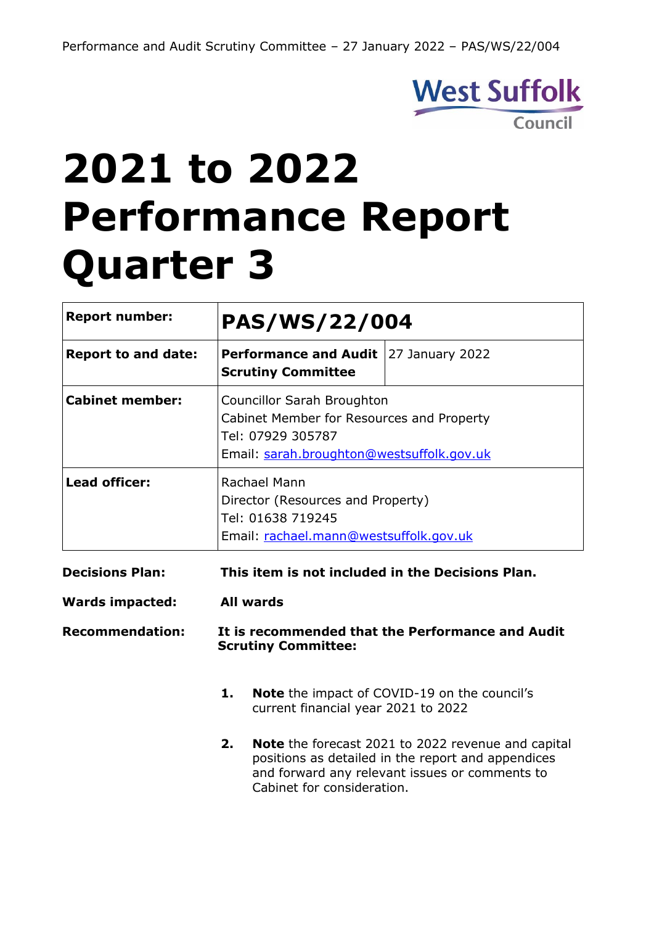

# **2021 to 2022 Performance Report Quarter 3**

| <b>Report number:</b>      | PAS/WS/22/004                                                                                                    |                                                                                                                                                                                                 |                 |  |  |  |
|----------------------------|------------------------------------------------------------------------------------------------------------------|-------------------------------------------------------------------------------------------------------------------------------------------------------------------------------------------------|-----------------|--|--|--|
| <b>Report to and date:</b> |                                                                                                                  | <b>Performance and Audit</b><br><b>Scrutiny Committee</b>                                                                                                                                       | 27 January 2022 |  |  |  |
| <b>Cabinet member:</b>     |                                                                                                                  | <b>Councillor Sarah Broughton</b><br>Cabinet Member for Resources and Property<br>Tel: 07929 305787<br>Email: sarah.broughton@westsuffolk.gov.uk                                                |                 |  |  |  |
| <b>Lead officer:</b>       | Rachael Mann<br>Director (Resources and Property)<br>Tel: 01638 719245<br>Email: rachael.mann@westsuffolk.gov.uk |                                                                                                                                                                                                 |                 |  |  |  |
| <b>Decisions Plan:</b>     | This item is not included in the Decisions Plan.                                                                 |                                                                                                                                                                                                 |                 |  |  |  |
| <b>Wards impacted:</b>     | <b>All wards</b>                                                                                                 |                                                                                                                                                                                                 |                 |  |  |  |
| <b>Recommendation:</b>     | It is recommended that the Performance and Audit<br><b>Scrutiny Committee:</b>                                   |                                                                                                                                                                                                 |                 |  |  |  |
|                            | 1.                                                                                                               | <b>Note</b> the impact of COVID-19 on the council's<br>current financial year 2021 to 2022                                                                                                      |                 |  |  |  |
|                            | 2.                                                                                                               | <b>Note</b> the forecast 2021 to 2022 revenue and capital<br>positions as detailed in the report and appendices<br>and forward any relevant issues or comments to<br>Cabinet for consideration. |                 |  |  |  |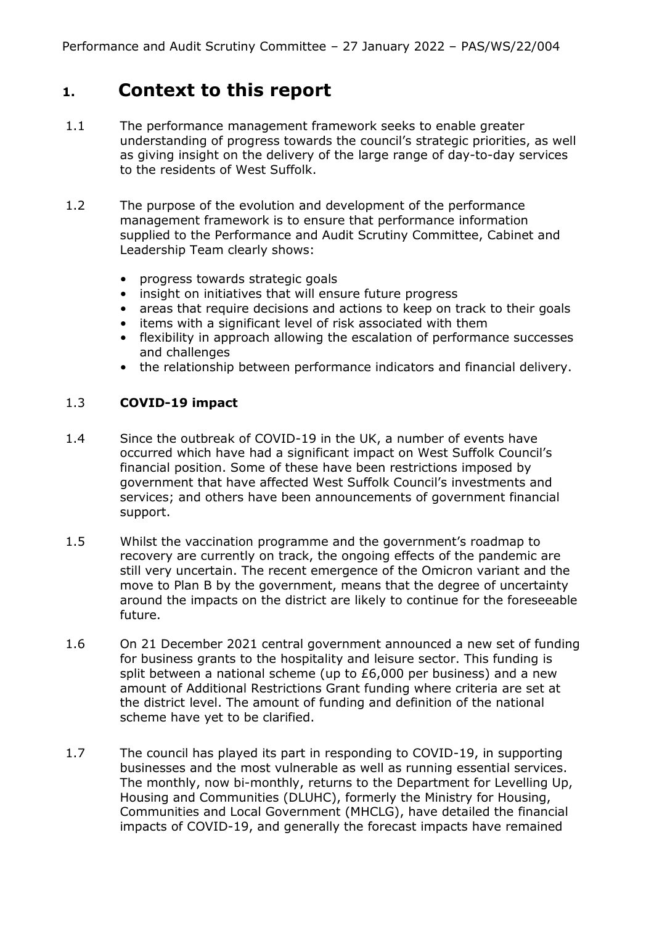# **1. Context to this report**

- 1.1 The performance management framework seeks to enable greater understanding of progress towards the council's strategic priorities, as well as giving insight on the delivery of the large range of day-to-day services to the residents of West Suffolk.
- 1.2 The purpose of the evolution and development of the performance management framework is to ensure that performance information supplied to the Performance and Audit Scrutiny Committee, Cabinet and Leadership Team clearly shows:
	- progress towards strategic goals
	- insight on initiatives that will ensure future progress
	- areas that require decisions and actions to keep on track to their goals
	- items with a significant level of risk associated with them
	- flexibility in approach allowing the escalation of performance successes and challenges
	- the relationship between performance indicators and financial delivery.

## 1.3 **COVID-19 impact**

- 1.4 Since the outbreak of COVID-19 in the UK, a number of events have occurred which have had a significant impact on West Suffolk Council's financial position. Some of these have been restrictions imposed by government that have affected West Suffolk Council's investments and services; and others have been announcements of government financial support.
- 1.5 Whilst the vaccination programme and the government's roadmap to recovery are currently on track, the ongoing effects of the pandemic are still very uncertain. The recent emergence of the Omicron variant and the move to Plan B by the government, means that the degree of uncertainty around the impacts on the district are likely to continue for the foreseeable future.
- 1.6 On 21 December 2021 central government announced a new set of funding for business grants to the hospitality and leisure sector. This funding is split between a national scheme (up to £6,000 per business) and a new amount of Additional Restrictions Grant funding where criteria are set at the district level. The amount of funding and definition of the national scheme have yet to be clarified.
- 1.7 The council has played its part in responding to COVID-19, in supporting businesses and the most vulnerable as well as running essential services. The monthly, now bi-monthly, returns to the Department for Levelling Up, Housing and Communities (DLUHC), formerly the Ministry for Housing, Communities and Local Government (MHCLG), have detailed the financial impacts of COVID-19, and generally the forecast impacts have remained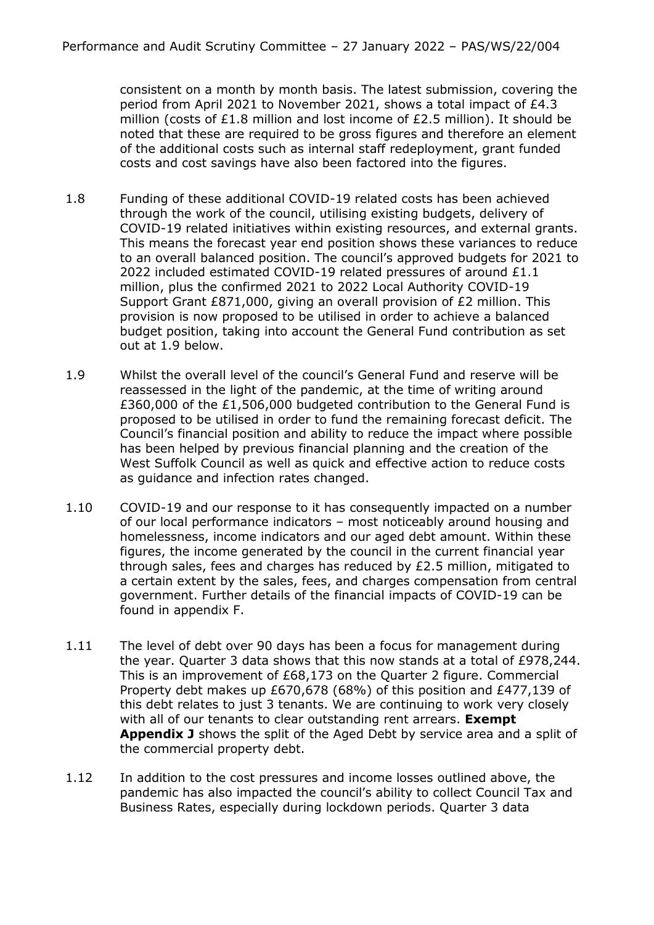consistent on a month by month basis. The latest submission, covering the period from April 2021 to November 2021, shows a total impact of £4.3 million (costs of £1.8 million and lost income of £2.5 million). It should be noted that these are required to be gross figures and therefore an element of the additional costs such as internal staff redeployment, grant funded costs and cost savings have also been factored into the figures.

- 1.8 Funding of these additional COVID-19 related costs has been achieved through the work of the council, utilising existing budgets, delivery of COVID-19 related initiatives within existing resources, and external grants. This means the forecast year end position shows these variances to reduce to an overall balanced position. The council's approved budgets for 2021 to 2022 included estimated COVID-19 related pressures of around £1.1 million, plus the confirmed 2021 to 2022 Local Authority COVID-19 Support Grant £871,000, giving an overall provision of £2 million. This provision is now proposed to be utilised in order to achieve a balanced budget position, taking into account the General Fund contribution as set out at 1.9 below.
- 1.9 Whilst the overall level of the council's General Fund and reserve will be reassessed in the light of the pandemic, at the time of writing around £360,000 of the £1,506,000 budgeted contribution to the General Fund is proposed to be utilised in order to fund the remaining forecast deficit. The Council's financial position and ability to reduce the impact where possible has been helped by previous financial planning and the creation of the West Suffolk Council as well as quick and effective action to reduce costs as guidance and infection rates changed.
- 1.10 COVID-19 and our response to it has consequently impacted on a number of our local performance indicators – most noticeably around housing and homelessness, income indicators and our aged debt amount. Within these figures, the income generated by the council in the current financial year through sales, fees and charges has reduced by £2.5 million, mitigated to a certain extent by the sales, fees, and charges compensation from central government. Further details of the financial impacts of COVID-19 can be found in appendix F.
- 1.11 The level of debt over 90 days has been a focus for management during the year. Quarter 3 data shows that this now stands at a total of £978,244. This is an improvement of £68,173 on the Quarter 2 figure. Commercial Property debt makes up £670,678 (68%) of this position and £477,139 of this debt relates to just 3 tenants. We are continuing to work very closely with all of our tenants to clear outstanding rent arrears. **Exempt Appendix J** shows the split of the Aged Debt by service area and a split of the commercial property debt.
- 1.12 In addition to the cost pressures and income losses outlined above, the pandemic has also impacted the council's ability to collect Council Tax and Business Rates, especially during lockdown periods. Quarter 3 data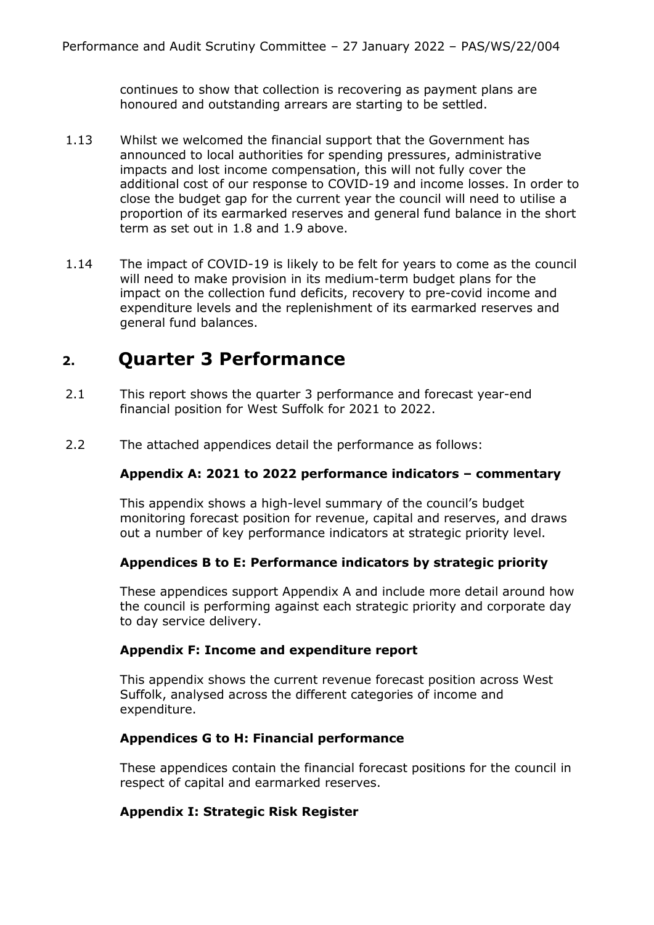continues to show that collection is recovering as payment plans are honoured and outstanding arrears are starting to be settled.

- 1.13 Whilst we welcomed the financial support that the Government has announced to local authorities for spending pressures, administrative impacts and lost income compensation, this will not fully cover the additional cost of our response to COVID-19 and income losses. In order to close the budget gap for the current year the council will need to utilise a proportion of its earmarked reserves and general fund balance in the short term as set out in 1.8 and 1.9 above.
- 1.14 The impact of COVID-19 is likely to be felt for years to come as the council will need to make provision in its medium-term budget plans for the impact on the collection fund deficits, recovery to pre-covid income and expenditure levels and the replenishment of its earmarked reserves and general fund balances.

# **2. Quarter 3 Performance**

- 2.1 This report shows the quarter 3 performance and forecast year-end financial position for West Suffolk for 2021 to 2022.
- 2.2 The attached appendices detail the performance as follows:

## **Appendix A: 2021 to 2022 performance indicators – commentary**

This appendix shows a high-level summary of the council's budget monitoring forecast position for revenue, capital and reserves, and draws out a number of key performance indicators at strategic priority level.

#### **Appendices B to E: Performance indicators by strategic priority**

These appendices support Appendix A and include more detail around how the council is performing against each strategic priority and corporate day to day service delivery.

## **Appendix F: Income and expenditure report**

This appendix shows the current revenue forecast position across West Suffolk, analysed across the different categories of income and expenditure.

## **Appendices G to H: Financial performance**

These appendices contain the financial forecast positions for the council in respect of capital and earmarked reserves.

## **Appendix I: Strategic Risk Register**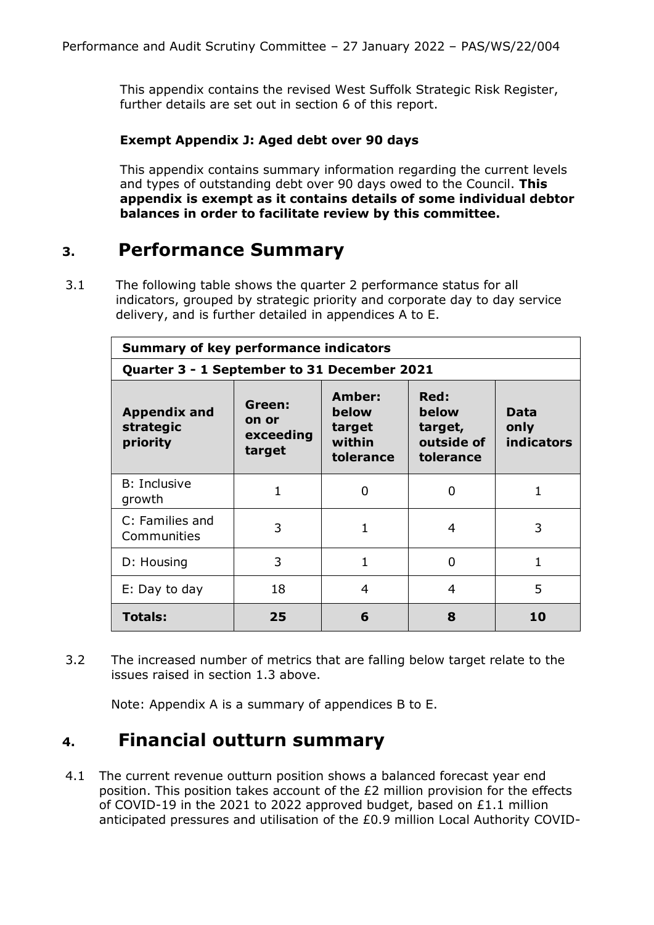This appendix contains the revised West Suffolk Strategic Risk Register, further details are set out in section 6 of this report.

## **Exempt Appendix J: Aged debt over 90 days**

This appendix contains summary information regarding the current levels and types of outstanding debt over 90 days owed to the Council. **This appendix is exempt as it contains details of some individual debtor balances in order to facilitate review by this committee.**

## **3. Performance Summary**

3.1 The following table shows the quarter 2 performance status for all indicators, grouped by strategic priority and corporate day to day service delivery, and is further detailed in appendices A to E.

| <b>Summary of key performance indicators</b> |                                        |                                                  |                                                     |                                   |  |  |
|----------------------------------------------|----------------------------------------|--------------------------------------------------|-----------------------------------------------------|-----------------------------------|--|--|
| Quarter 3 - 1 September to 31 December 2021  |                                        |                                                  |                                                     |                                   |  |  |
| <b>Appendix and</b><br>strategic<br>priority | Green:<br>on or<br>exceeding<br>target | Amber:<br>below<br>target<br>within<br>tolerance | Red:<br>below<br>target,<br>outside of<br>tolerance | Data<br>only<br><b>indicators</b> |  |  |
| <b>B</b> : Inclusive<br>growth               | 1                                      | 0                                                | 0                                                   | 1                                 |  |  |
| C: Families and<br>Communities               | 3                                      | 1                                                | 4                                                   | 3                                 |  |  |
| D: Housing                                   | 3                                      | 1                                                | 0                                                   | 1                                 |  |  |
| E: Day to day                                | 18                                     | $\overline{4}$                                   | 4                                                   | 5                                 |  |  |
| <b>Totals:</b>                               | 25                                     | 6                                                | 8                                                   | 10                                |  |  |

3.2 The increased number of metrics that are falling below target relate to the issues raised in section 1.3 above.

Note: Appendix A is a summary of appendices B to E.

## **4. Financial outturn summary**

4.1 The current revenue outturn position shows a balanced forecast year end position. This position takes account of the £2 million provision for the effects of COVID-19 in the 2021 to 2022 approved budget, based on £1.1 million anticipated pressures and utilisation of the £0.9 million Local Authority COVID-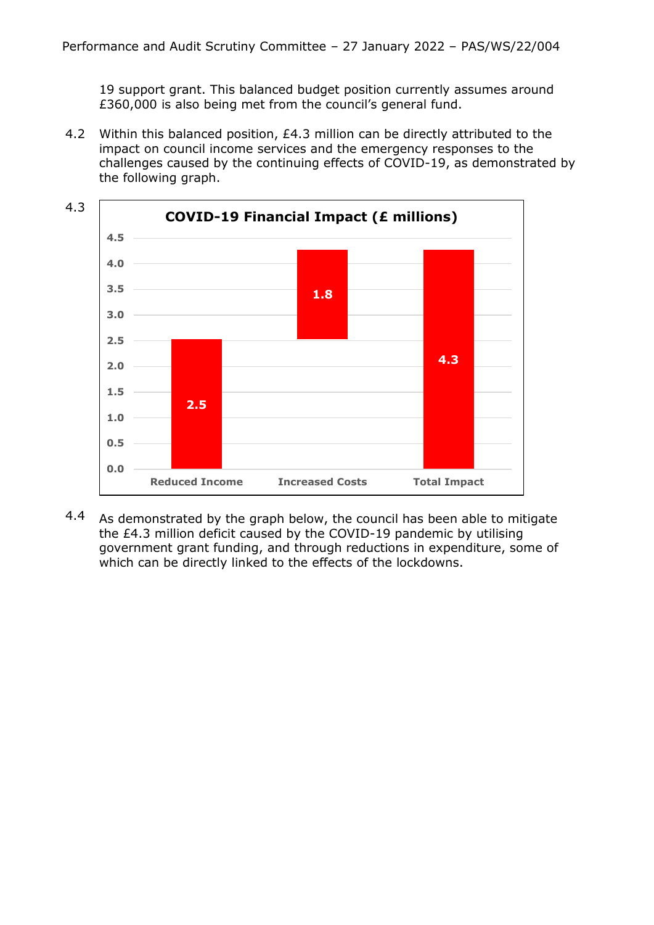19 support grant. This balanced budget position currently assumes around £360,000 is also being met from the council's general fund.

4.2 Within this balanced position, £4.3 million can be directly attributed to the impact on council income services and the emergency responses to the challenges caused by the continuing effects of COVID-19, as demonstrated by the following graph.



4.4 As demonstrated by the graph below, the council has been able to mitigate the £4.3 million deficit caused by the COVID-19 pandemic by utilising government grant funding, and through reductions in expenditure, some of which can be directly linked to the effects of the lockdowns.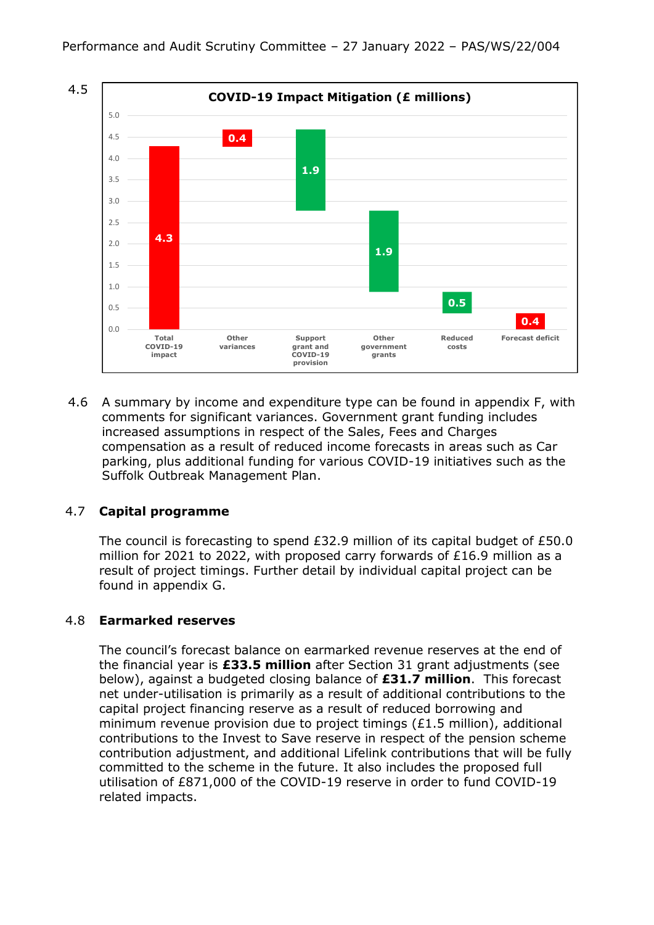

4.6 A summary by income and expenditure type can be found in appendix F, with comments for significant variances. Government grant funding includes increased assumptions in respect of the Sales, Fees and Charges compensation as a result of reduced income forecasts in areas such as Car parking, plus additional funding for various COVID-19 initiatives such as the Suffolk Outbreak Management Plan.

## 4.7 **Capital programme**

The council is forecasting to spend £32.9 million of its capital budget of £50.0 million for 2021 to 2022, with proposed carry forwards of £16.9 million as a result of project timings. Further detail by individual capital project can be found in appendix G.

#### 4.8 **Earmarked reserves**

The council's forecast balance on earmarked revenue reserves at the end of the financial year is **£33.5 million** after Section 31 grant adjustments (see below), against a budgeted closing balance of **£31.7 million**. This forecast net under-utilisation is primarily as a result of additional contributions to the capital project financing reserve as a result of reduced borrowing and minimum revenue provision due to project timings  $(E1.5 \text{ million})$ , additional contributions to the Invest to Save reserve in respect of the pension scheme contribution adjustment, and additional Lifelink contributions that will be fully committed to the scheme in the future. It also includes the proposed full utilisation of £871,000 of the COVID-19 reserve in order to fund COVID-19 related impacts.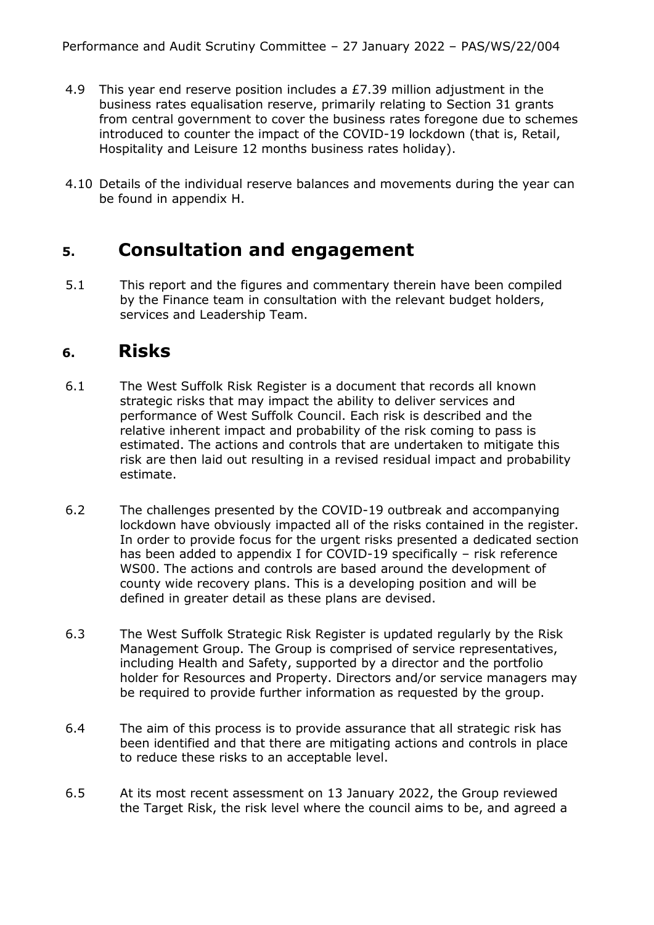- 4.9 This year end reserve position includes a £7.39 million adjustment in the business rates equalisation reserve, primarily relating to Section 31 grants from central government to cover the business rates foregone due to schemes introduced to counter the impact of the COVID-19 lockdown (that is, Retail, Hospitality and Leisure 12 months business rates holiday).
- 4.10 Details of the individual reserve balances and movements during the year can be found in appendix H.

# **5. Consultation and engagement**

5.1 This report and the figures and commentary therein have been compiled by the Finance team in consultation with the relevant budget holders, services and Leadership Team.

## **6. Risks**

- 6.1 The West Suffolk Risk Register is a document that records all known strategic risks that may impact the ability to deliver services and performance of West Suffolk Council. Each risk is described and the relative inherent impact and probability of the risk coming to pass is estimated. The actions and controls that are undertaken to mitigate this risk are then laid out resulting in a revised residual impact and probability estimate.
- 6.2 The challenges presented by the COVID-19 outbreak and accompanying lockdown have obviously impacted all of the risks contained in the register. In order to provide focus for the urgent risks presented a dedicated section has been added to appendix I for COVID-19 specifically – risk reference WS00. The actions and controls are based around the development of county wide recovery plans. This is a developing position and will be defined in greater detail as these plans are devised.
- 6.3 The West Suffolk Strategic Risk Register is updated regularly by the Risk Management Group. The Group is comprised of service representatives, including Health and Safety, supported by a director and the portfolio holder for Resources and Property. Directors and/or service managers may be required to provide further information as requested by the group.
- 6.4 The aim of this process is to provide assurance that all strategic risk has been identified and that there are mitigating actions and controls in place to reduce these risks to an acceptable level.
- 6.5 At its most recent assessment on 13 January 2022, the Group reviewed the Target Risk, the risk level where the council aims to be, and agreed a